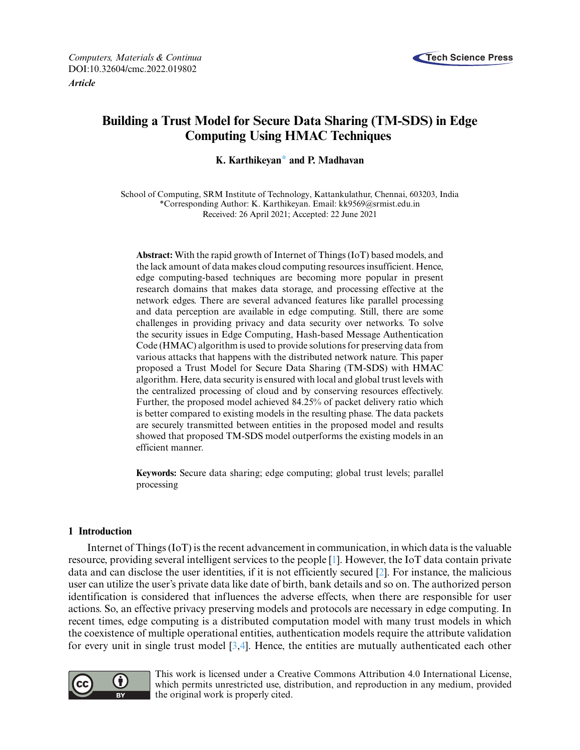

*Article*

# **Building a Trust Model for Secure Data Sharing (TM-SDS) in Edge Computing Using HMAC Techniques**

**K. Karthikeya[n\\*](#page-0-0) and P. Madhavan**

<span id="page-0-0"></span>School of Computing, SRM Institute of Technology, Kattankulathur, Chennai, 603203, India \*Corresponding Author: K. Karthikeyan. Email: [kk9569@srmist.edu.in](mailto:kk9569@srmist.edu.in) Received: 26 April 2021; Accepted: 22 June 2021

**Abstract:** With the rapid growth of Internet of Things (IoT) based models, and the lack amount of data makes cloud computing resources insufficient. Hence, edge computing-based techniques are becoming more popular in present research domains that makes data storage, and processing effective at the network edges. There are several advanced features like parallel processing and data perception are available in edge computing. Still, there are some challenges in providing privacy and data security over networks. To solve the security issues in Edge Computing, Hash-based Message Authentication Code (HMAC) algorithm is used to provide solutions for preserving data from various attacks that happens with the distributed network nature. This paper proposed a Trust Model for Secure Data Sharing (TM-SDS) with HMAC algorithm. Here, data security is ensured with local and global trust levels with the centralized processing of cloud and by conserving resources effectively. Further, the proposed model achieved 84.25% of packet delivery ratio which is better compared to existing models in the resulting phase. The data packets are securely transmitted between entities in the proposed model and results showed that proposed TM-SDS model outperforms the existing models in an efficient manner.

**Keywords:** Secure data sharing; edge computing; global trust levels; parallel processing

# **1 Introduction**

Internet of Things (IoT) is the recent advancement in communication, in which data is the valuable resource, providing several intelligent services to the people [\[1\]](#page-12-0). However, the IoT data contain private data and can disclose the user identities, if it is not efficiently secured [\[2\]](#page-12-1). For instance, the malicious user can utilize the user's private data like date of birth, bank details and so on. The authorized person identification is considered that influences the adverse effects, when there are responsible for user actions. So, an effective privacy preserving models and protocols are necessary in edge computing. In recent times, edge computing is a distributed computation model with many trust models in which the coexistence of multiple operational entities, authentication models require the attribute validation for every unit in single trust model [\[3](#page-12-2)[,4\]](#page-13-0). Hence, the entities are mutually authenticated each other



This work is licensed under a Creative Commons Attribution 4.0 International License, which permits unrestricted use, distribution, and reproduction in any medium, provided the original work is properly cited.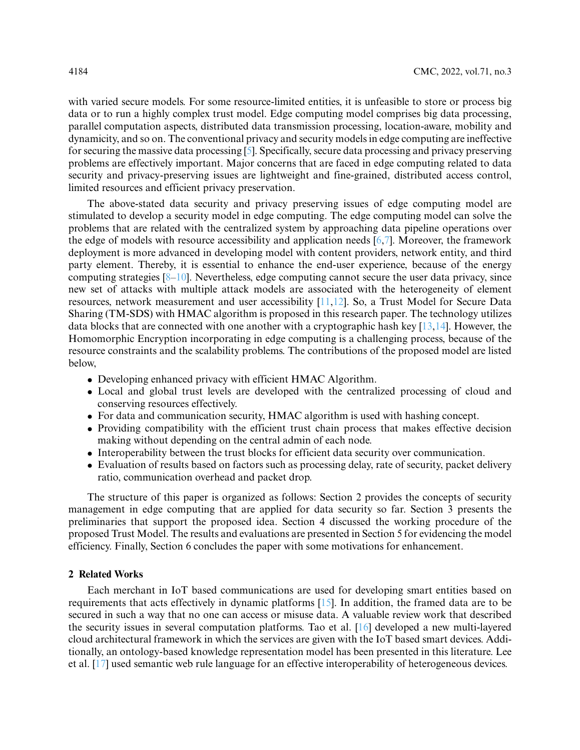with varied secure models. For some resource-limited entities, it is unfeasible to store or process big data or to run a highly complex trust model. Edge computing model comprises big data processing, parallel computation aspects, distributed data transmission processing, location-aware, mobility and dynamicity, and so on. The conventional privacy and security models in edge computing are ineffective for securing the massive data processing [\[5\]](#page-13-1). Specifically, secure data processing and privacy preserving problems are effectively important. Major concerns that are faced in edge computing related to data security and privacy-preserving issues are lightweight and fine-grained, distributed access control, limited resources and efficient privacy preservation.

The above-stated data security and privacy preserving issues of edge computing model are stimulated to develop a security model in edge computing. The edge computing model can solve the problems that are related with the centralized system by approaching data pipeline operations over the edge of models with resource accessibility and application needs [\[6,](#page-13-2)[7\]](#page-13-3). Moreover, the framework deployment is more advanced in developing model with content providers, network entity, and third party element. Thereby, it is essential to enhance the end-user experience, because of the energy computing strategies  $[8-10]$  $[8-10]$ . Nevertheless, edge computing cannot secure the user data privacy, since new set of attacks with multiple attack models are associated with the heterogeneity of element resources, network measurement and user accessibility [\[11,](#page-13-6)[12\]](#page-13-7). So, a Trust Model for Secure Data Sharing (TM-SDS) with HMAC algorithm is proposed in this research paper. The technology utilizes data blocks that are connected with one another with a cryptographic hash key [\[13](#page-13-8)[,14\]](#page-13-9). However, the Homomorphic Encryption incorporating in edge computing is a challenging process, because of the resource constraints and the scalability problems. The contributions of the proposed model are listed below,

- Developing enhanced privacy with efficient HMAC Algorithm.
- Local and global trust levels are developed with the centralized processing of cloud and conserving resources effectively.
- For data and communication security, HMAC algorithm is used with hashing concept.
- Providing compatibility with the efficient trust chain process that makes effective decision making without depending on the central admin of each node.
- Interoperability between the trust blocks for efficient data security over communication.
- Evaluation of results based on factors such as processing delay, rate of security, packet delivery ratio, communication overhead and packet drop.

The structure of this paper is organized as follows: Section 2 provides the concepts of security management in edge computing that are applied for data security so far. Section 3 presents the preliminaries that support the proposed idea. Section 4 discussed the working procedure of the proposed Trust Model. The results and evaluations are presented in Section 5 for evidencing the model efficiency. Finally, Section 6 concludes the paper with some motivations for enhancement.

## **2 Related Works**

Each merchant in IoT based communications are used for developing smart entities based on requirements that acts effectively in dynamic platforms [\[15\]](#page-13-10). In addition, the framed data are to be secured in such a way that no one can access or misuse data. A valuable review work that described the security issues in several computation platforms. Tao et al. [\[16\]](#page-13-11) developed a new multi-layered cloud architectural framework in which the services are given with the IoT based smart devices. Additionally, an ontology-based knowledge representation model has been presented in this literature. Lee et al. [\[17\]](#page-13-12) used semantic web rule language for an effective interoperability of heterogeneous devices.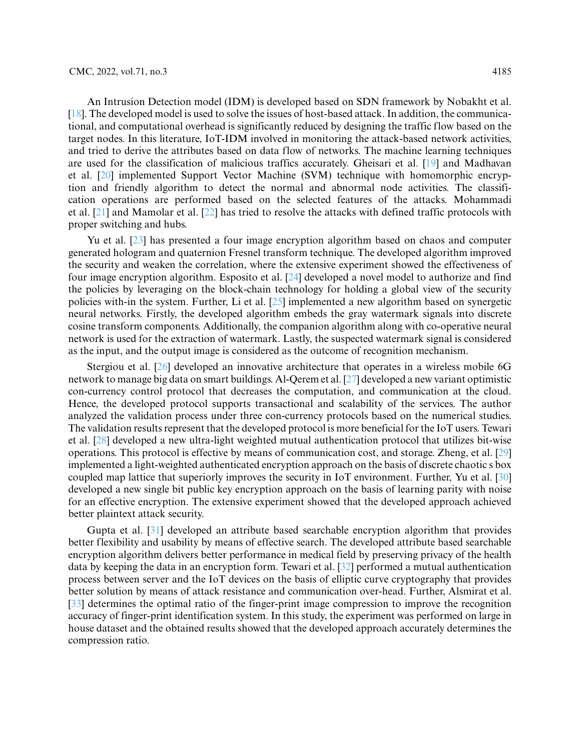An Intrusion Detection model (IDM) is developed based on SDN framework by Nobakht et al. [\[18\]](#page-13-13). The developed model is used to solve the issues of host-based attack. In addition, the communicational, and computational overhead is significantly reduced by designing the traffic flow based on the target nodes. In this literature, IoT-IDM involved in monitoring the attack-based network activities, and tried to derive the attributes based on data flow of networks. The machine learning techniques are used for the classification of malicious traffics accurately. Gheisari et al. [\[19\]](#page-13-14) and Madhavan et al. [\[20\]](#page-13-15) implemented Support Vector Machine (SVM) technique with homomorphic encryption and friendly algorithm to detect the normal and abnormal node activities. The classification operations are performed based on the selected features of the attacks. Mohammadi et al. [\[21\]](#page-13-16) and Mamolar et al. [\[22\]](#page-13-17) has tried to resolve the attacks with defined traffic protocols with proper switching and hubs.

Yu et al. [\[23\]](#page-13-18) has presented a four image encryption algorithm based on chaos and computer generated hologram and quaternion Fresnel transform technique. The developed algorithm improved the security and weaken the correlation, where the extensive experiment showed the effectiveness of four image encryption algorithm. Esposito et al. [\[24\]](#page-14-0) developed a novel model to authorize and find the policies by leveraging on the block-chain technology for holding a global view of the security policies with-in the system. Further, Li et al. [\[25\]](#page-14-1) implemented a new algorithm based on synergetic neural networks. Firstly, the developed algorithm embeds the gray watermark signals into discrete cosine transform components. Additionally, the companion algorithm along with co-operative neural network is used for the extraction of watermark. Lastly, the suspected watermark signal is considered as the input, and the output image is considered as the outcome of recognition mechanism.

Stergiou et al. [\[26\]](#page-14-2) developed an innovative architecture that operates in a wireless mobile 6G network to manage big data on smart buildings. Al-Qerem et al. [\[27\]](#page-14-3) developed a new variant optimistic con-currency control protocol that decreases the computation, and communication at the cloud. Hence, the developed protocol supports transactional and scalability of the services. The author analyzed the validation process under three con-currency protocols based on the numerical studies. The validation results represent that the developed protocol is more beneficial for the IoT users. Tewari et al. [\[28\]](#page-14-4) developed a new ultra-light weighted mutual authentication protocol that utilizes bit-wise operations. This protocol is effective by means of communication cost, and storage. Zheng, et al. [\[29\]](#page-14-5) implemented a light-weighted authenticated encryption approach on the basis of discrete chaotic s box coupled map lattice that superiorly improves the security in IoT environment. Further, Yu et al. [\[30\]](#page-14-6) developed a new single bit public key encryption approach on the basis of learning parity with noise for an effective encryption. The extensive experiment showed that the developed approach achieved better plaintext attack security.

Gupta et al. [\[31\]](#page-14-7) developed an attribute based searchable encryption algorithm that provides better flexibility and usability by means of effective search. The developed attribute based searchable encryption algorithm delivers better performance in medical field by preserving privacy of the health data by keeping the data in an encryption form. Tewari et al. [\[32\]](#page-14-8) performed a mutual authentication process between server and the IoT devices on the basis of elliptic curve cryptography that provides better solution by means of attack resistance and communication over-head. Further, Alsmirat et al. [\[33\]](#page-14-9) determines the optimal ratio of the finger-print image compression to improve the recognition accuracy of finger-print identification system. In this study, the experiment was performed on large in house dataset and the obtained results showed that the developed approach accurately determines the compression ratio.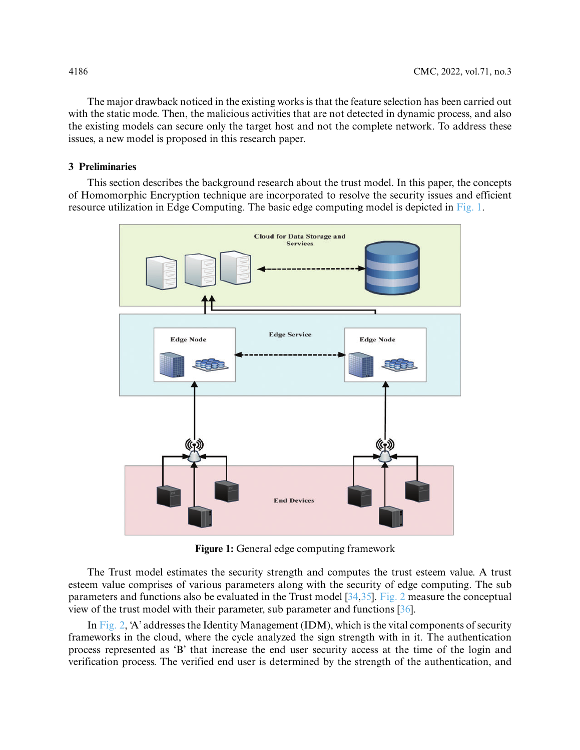The major drawback noticed in the existing works is that the feature selection has been carried out with the static mode. Then, the malicious activities that are not detected in dynamic process, and also the existing models can secure only the target host and not the complete network. To address these issues, a new model is proposed in this research paper.

## **3 Preliminaries**

This section describes the background research about the trust model. In this paper, the concepts of Homomorphic Encryption technique are incorporated to resolve the security issues and efficient resource utilization in Edge Computing. The basic edge computing model is depicted in [Fig. 1.](#page-3-0)



**Figure 1:** General edge computing framework

<span id="page-3-0"></span>The Trust model estimates the security strength and computes the trust esteem value. A trust esteem value comprises of various parameters along with the security of edge computing. The sub parameters and functions also be evaluated in the Trust model [\[34,](#page-14-10)[35\]](#page-14-11). [Fig. 2](#page-4-0) measure the conceptual view of the trust model with their parameter, sub parameter and functions [\[36\]](#page-14-12).

In [Fig. 2,](#page-4-0) 'A' addresses the Identity Management (IDM), which is the vital components of security frameworks in the cloud, where the cycle analyzed the sign strength with in it. The authentication process represented as 'B' that increase the end user security access at the time of the login and verification process. The verified end user is determined by the strength of the authentication, and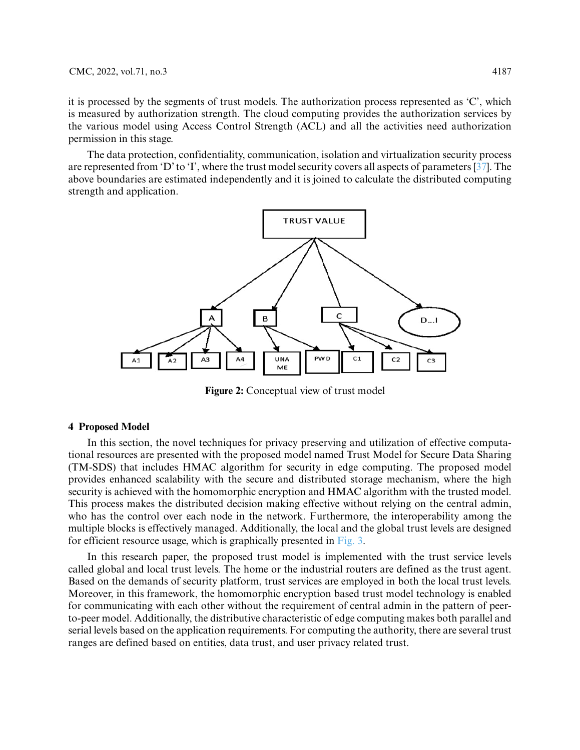it is processed by the segments of trust models. The authorization process represented as 'C', which is measured by authorization strength. The cloud computing provides the authorization services by the various model using Access Control Strength (ACL) and all the activities need authorization permission in this stage.

The data protection, confidentiality, communication, isolation and virtualization security process are represented from 'D' to 'I', where the trust model security covers all aspects of parameters [\[37\]](#page-14-13). The above boundaries are estimated independently and it is joined to calculate the distributed computing strength and application.



**Figure 2:** Conceptual view of trust model

## <span id="page-4-0"></span>**4 Proposed Model**

In this section, the novel techniques for privacy preserving and utilization of effective computational resources are presented with the proposed model named Trust Model for Secure Data Sharing (TM-SDS) that includes HMAC algorithm for security in edge computing. The proposed model provides enhanced scalability with the secure and distributed storage mechanism, where the high security is achieved with the homomorphic encryption and HMAC algorithm with the trusted model. This process makes the distributed decision making effective without relying on the central admin, who has the control over each node in the network. Furthermore, the interoperability among the multiple blocks is effectively managed. Additionally, the local and the global trust levels are designed for efficient resource usage, which is graphically presented in [Fig. 3.](#page-5-0)

In this research paper, the proposed trust model is implemented with the trust service levels called global and local trust levels. The home or the industrial routers are defined as the trust agent. Based on the demands of security platform, trust services are employed in both the local trust levels. Moreover, in this framework, the homomorphic encryption based trust model technology is enabled for communicating with each other without the requirement of central admin in the pattern of peerto-peer model. Additionally, the distributive characteristic of edge computing makes both parallel and serial levels based on the application requirements. For computing the authority, there are several trust ranges are defined based on entities, data trust, and user privacy related trust.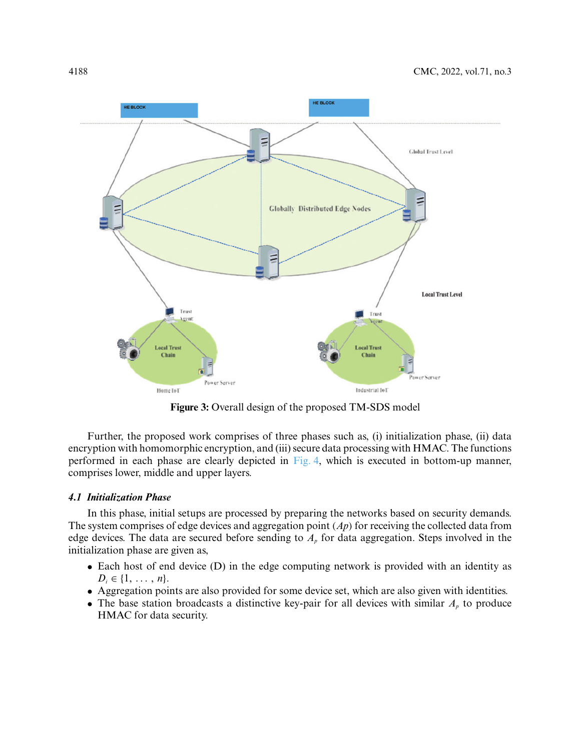

**Figure 3:** Overall design of the proposed TM-SDS model

<span id="page-5-0"></span>Further, the proposed work comprises of three phases such as, (i) initialization phase, (ii) data encryption with homomorphic encryption, and (iii) secure data processing with HMAC. The functions performed in each phase are clearly depicted in [Fig. 4,](#page-6-0) which is executed in bottom-up manner, comprises lower, middle and upper layers.

### *4.1 Initialization Phase*

In this phase, initial setups are processed by preparing the networks based on security demands. The system comprises of edge devices and aggregation point *(Ap)* for receiving the collected data from edge devices. The data are secured before sending to  $A<sub>p</sub>$  for data aggregation. Steps involved in the initialization phase are given as,

- Each host of end device (D) in the edge computing network is provided with an identity as  $D_i \in \{1, \ldots, n\}.$
- Aggregation points are also provided for some device set, which are also given with identities.
- The base station broadcasts a distinctive key-pair for all devices with similar  $A<sub>p</sub>$  to produce HMAC for data security.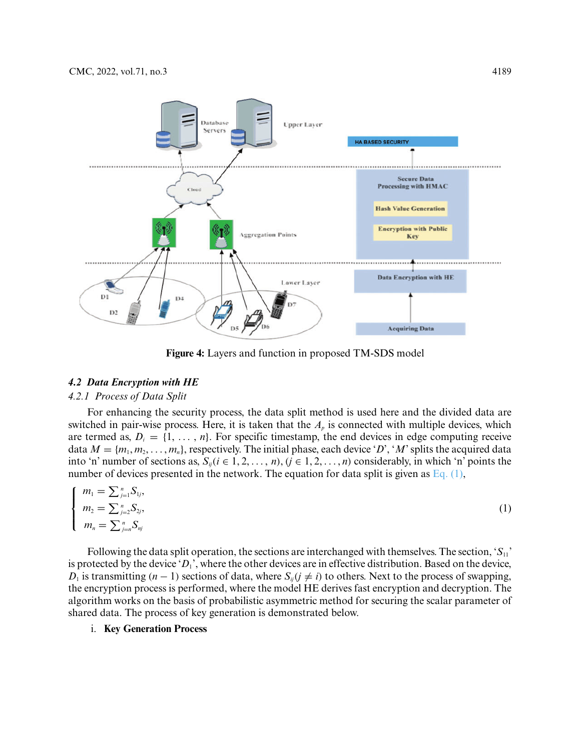

<span id="page-6-1"></span>**Figure 4:** Layers and function in proposed TM-SDS model

#### <span id="page-6-0"></span>*4.2 Data Encryption with HE*

## *4.2.1 Process of Data Split*

For enhancing the security process, the data split method is used here and the divided data are switched in pair-wise process. Here, it is taken that the  $A<sub>p</sub>$  is connected with multiple devices, which are termed as,  $D_i = \{1, \ldots, n\}$ . For specific timestamp, the end devices in edge computing receive data  $M = \{m_1, m_2, \ldots, m_n\}$ , respectively. The initial phase, each device '*D*', '*M*' splits the acquired data into 'n' number of sections as,  $S_{ii}$  ( $i \in 1, 2, ..., n$ ), ( $j \in 1, 2, ..., n$ ) considerably, in which 'n' points the number of devices presented in the network. The equation for data split is given as Eq.  $(1)$ ,

$$
\begin{cases}\n m_1 = \sum_{j=1}^n S_{1j}, \\
 m_2 = \sum_{j=2}^n S_{2j}, \\
 m_n = \sum_{j=n}^n S_{nj}\n\end{cases}
$$
\n(1)

Following the data split operation, the sections are interchanged with themselves. The section, '*S*11' is protected by the device ' $D_1$ ', where the other devices are in effective distribution. Based on the device, *D*<sub>1</sub> is transmitting  $(n - 1)$  sections of data, where  $S_{ij}$  ( $j \neq i$ ) to others. Next to the process of swapping, the encryption process is performed, where the model HE derives fast encryption and decryption. The algorithm works on the basis of probabilistic asymmetric method for securing the scalar parameter of shared data. The process of key generation is demonstrated below.

## i. **Key Generation Process**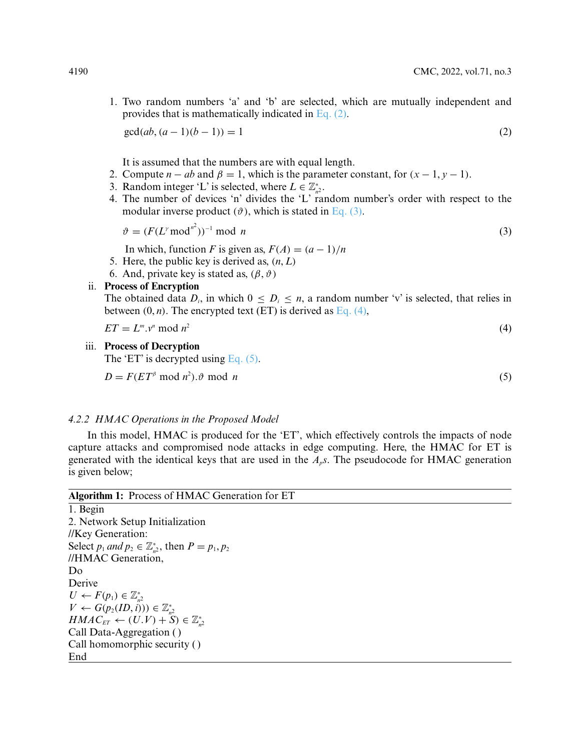1. Two random numbers 'a' and 'b' are selected, which are mutually independent and provides that is mathematically indicated in [Eq. \(2\).](#page-7-0)

<span id="page-7-0"></span> $gcd(ab, (a-1)(b-1)) = 1$  (2)

It is assumed that the numbers are with equal length.

- 2. Compute  $n ab$  and  $\beta = 1$ , which is the parameter constant, for  $(x 1, y 1)$ .
- 3. Random integer 'L' is selected, where  $L \in \mathbb{Z}_{n^2}^*$ .
- 4. The number of devices 'n' divides the 'L' random number's order with respect to the modular inverse product  $(\vartheta)$ , which is stated in [Eq. \(3\).](#page-7-1)

$$
\vartheta = (F(L^{\gamma} \bmod n^2))^{-1} \bmod n
$$
\n(3)

In which, function *F* is given as,  $F(A) = (a - 1)/n$ 

- 5. Here, the public key is derived as,  $(n, L)$
- 6. And, private key is stated as,  $(\beta, \vartheta)$

## ii. **Process of Encryption**

The obtained data  $D_i$ , in which  $0 \leq D_i \leq n$ , a random number 'v' is selected, that relies in between  $(0, n)$ . The encrypted text  $(ET)$  is derived as Eq.  $(4)$ ,

$$
ET = L^m v^n \bmod n^2 \tag{4}
$$

# iii. **Process of Decryption**

<span id="page-7-3"></span>The 'ET' is decrypted using Eq.  $(5)$ .

 $D = F(ET^{\beta} \text{ mod } n^2)$ .  $\vartheta \text{ mod } n$  (5)

<span id="page-7-2"></span><span id="page-7-1"></span>

## *4.2.2 HMAC Operations in the Proposed Model*

In this model, HMAC is produced for the 'ET', which effectively controls the impacts of node capture attacks and compromised node attacks in edge computing. Here, the HMAC for ET is generated with the identical keys that are used in the *Aps*. The pseudocode for HMAC generation is given below;

|          | Algorithm 1: Process of HMAC Generation for ET |
|----------|------------------------------------------------|
| 1. Begin |                                                |

2. Network Setup Initialization //Key Generation: Select  $p_1$  *and*  $p_2 \in \mathbb{Z}_{n^2}^*$ , then  $P = p_1, p_2$ //HMAC Generation, Do Derive  $U \leftarrow F(p_1) \in \mathbb{Z}_{n^2}^*$ *V* ←  $G(p_2(ID, i)) \in \mathbb{Z}_{n^2}^*$  $HMAC_{ET} \leftarrow (U.V) + S \text{ is } \mathbb{Z}_{n^2}^*$ Call Data-Aggregation ( ) Call homomorphic security ( ) End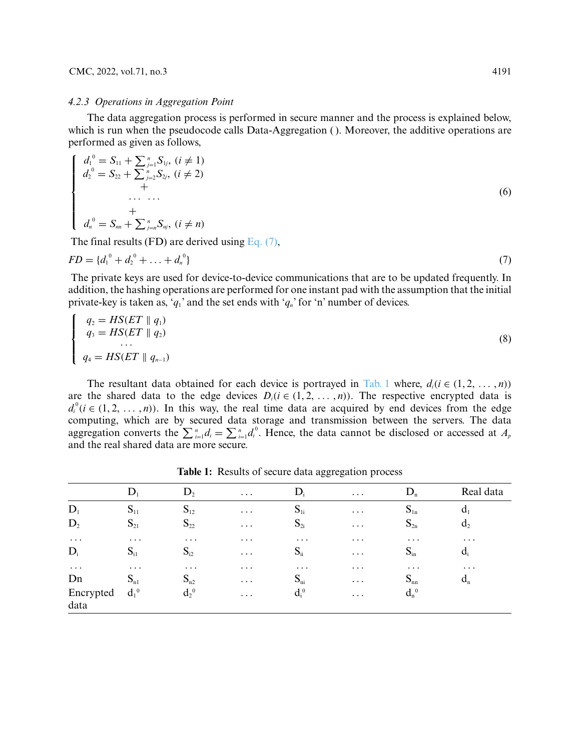#### CMC, 2022, vol.71, no.3 4191

#### *4.2.3 Operations in Aggregation Point*

The data aggregation process is performed in secure manner and the process is explained below, which is run when the pseudocode calls Data-Aggregation (). Moreover, the additive operations are performed as given as follows,

$$
\begin{cases}\n d_1^0 = S_{11} + \sum_{j=1}^n S_{1j}, \ (i \neq 1) \\
 d_2^0 = S_{22} + \sum_{j=2}^n S_{2j}, \ (i \neq 2) \\
 + \\
 \vdots \\
 d_n^0 = S_{nn} + \sum_{j=1}^n S_{nj}, \ (i \neq n)\n\end{cases} (6)
$$

<span id="page-8-0"></span>The final results (FD) are derived using [Eq. \(7\),](#page-8-0)

$$
FD = \{d_1^0 + d_2^0 + \ldots + d_n^0\} \tag{7}
$$

The private keys are used for device-to-device communications that are to be updated frequently. In addition, the hashing operations are performed for one instant pad with the assumption that the initial private-key is taken as, ' $q_1$ ' and the set ends with ' $q_n$ ' for 'n' number of devices.

$$
\begin{cases}\nq_2 = HS(ET \parallel q_1) \\
q_3 = HS(ET \parallel q_2) \\
\vdots \\
q_4 = HS(ET \parallel q_{n-1})\n\end{cases} (8)
$$

The resultant data obtained for each device is portrayed in [Tab. 1](#page-8-1) where,  $d_i$  ( $i \in (1, 2, \ldots, n)$ ) are the shared data to the edge devices  $D_i$  ( $i \in (1, 2, \ldots, n)$ ). The respective encrypted data is  $d_i^0$  ( $i \in (1, 2, \ldots, n)$ ). In this way, the real time data are acquired by end devices from the edge computing, which are by secured data storage and transmission between the servers. The data aggregation converts the  $\sum_{i=1}^{n} d_i = \sum_{i=1}^{n} d_i^0$ . Hence, the data cannot be disclosed or accessed at  $A_p$ and the real shared data are more secure.

<span id="page-8-1"></span>

|                   | $D_1$    | $D_2$    | $\cdots$                         | $D_i$    | $\bullet$ .<br><br><br>$\bullet$ | $D_n$    | Real data      |
|-------------------|----------|----------|----------------------------------|----------|----------------------------------|----------|----------------|
| $D_1$             | $S_{11}$ | $S_{12}$ | $\cdots$                         | $S_{1i}$ | $\cdots$                         | $S_{1n}$ | $d_1$          |
| $D_2$             | $S_{21}$ | $S_{22}$ | $\cdots$                         | $S_{2i}$ | $\bullet$ .<br><br><br>$\bullet$ | $S_{2n}$ | d <sub>2</sub> |
| $\cdots$          | $\cdots$ | $\cdots$ | $\cdots$                         | $\cdots$ | $\cdots$                         | $\cdots$ | $\cdots$       |
| $D_i$             | $S_{i1}$ | $S_{i2}$ | $\cdots$                         | $S_{ii}$ | $\bullet$ .<br><br><br>$\bullet$ | $S_{in}$ | $d_i$          |
| $\cdots$          | $\cdots$ | $\cdots$ | $\cdots$                         | $\cdots$ | $\cdots$                         | $\cdots$ | $\cdots$       |
| Dn                | $S_{n1}$ | $S_{n2}$ | $\cdots$                         | $S_{ni}$ | $\cdots$                         | $S_{nn}$ | $d_n$          |
| Encrypted<br>data | $d_1^0$  | $d_2^0$  | $\bullet$ .<br><br><br>$\bullet$ | $d_i^0$  | $\cdots$                         | $d_n^0$  |                |

**Table 1:** Results of secure data aggregation process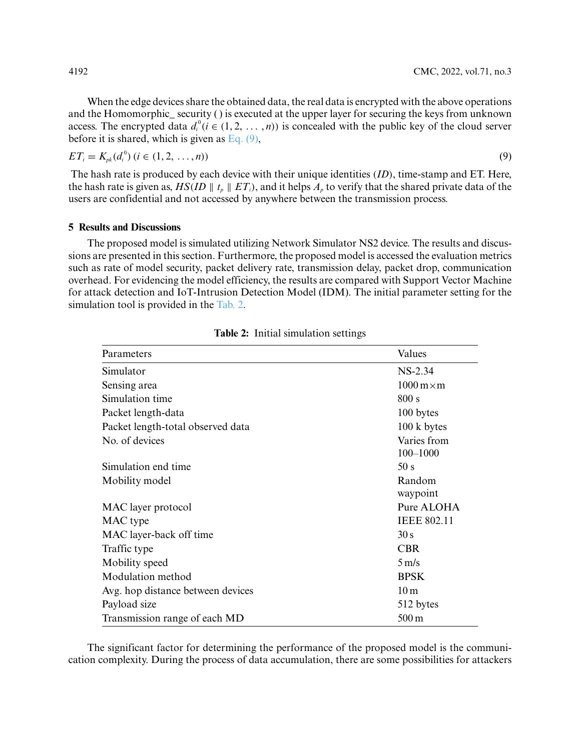When the edge devices share the obtained data, the real data is encrypted with the above operations and the Homomorphic—security () is executed at the upper layer for securing the keys from unknown access. The encrypted data  $d_i^0$  ( $i \in (1, 2, ..., n)$ ) is concealed with the public key of the cloud server before it is shared, which is given as [Eq. \(9\),](#page-9-0)

$$
ET_i = K_{pk}(d_i^0) \ (i \in (1, 2, \ldots, n))
$$

The hash rate is produced by each device with their unique identities *(ID)*, time-stamp and ET. Here, the hash rate is given as,  $HS(ID \parallel t_p \parallel ET_i)$ , and it helps  $A_p$  to verify that the shared private data of the users are confidential and not accessed by anywhere between the transmission process.

## **5 Results and Discussions**

The proposed model is simulated utilizing Network Simulator NS2 device. The results and discussions are presented in this section. Furthermore, the proposed model is accessed the evaluation metrics such as rate of model security, packet delivery rate, transmission delay, packet drop, communication overhead. For evidencing the model efficiency, the results are compared with Support Vector Machine for attack detection and IoT-Intrusion Detection Model (IDM). The initial parameter setting for the simulation tool is provided in the [Tab. 2.](#page-9-1)

<span id="page-9-1"></span>

| Parameters                        | Values                                |  |  |
|-----------------------------------|---------------------------------------|--|--|
| Simulator                         | $NS-2.34$                             |  |  |
| Sensing area                      | $1000 \,\mathrm{m} \times \mathrm{m}$ |  |  |
| Simulation time                   | 800 s                                 |  |  |
| Packet length-data                | 100 bytes                             |  |  |
| Packet length-total observed data | 100 k bytes                           |  |  |
| No. of devices                    | Varies from<br>$100 - 1000$           |  |  |
| Simulation end time               | 50 s                                  |  |  |
| Mobility model                    | Random<br>waypoint                    |  |  |
| MAC layer protocol                | Pure ALOHA                            |  |  |
| MAC type                          | <b>IEEE 802.11</b>                    |  |  |
| MAC layer-back off time           | 30 s                                  |  |  |
| Traffic type                      | <b>CBR</b>                            |  |  |
| Mobility speed                    | $5 \text{ m/s}$                       |  |  |
| Modulation method                 | <b>BPSK</b>                           |  |  |
| Avg. hop distance between devices | 10 <sub>m</sub>                       |  |  |
| Payload size                      | 512 bytes                             |  |  |
| Transmission range of each MD     | 500 m                                 |  |  |

<span id="page-9-0"></span>**Table 2:** Initial simulation settings

The significant factor for determining the performance of the proposed model is the communication complexity. During the process of data accumulation, there are some possibilities for attackers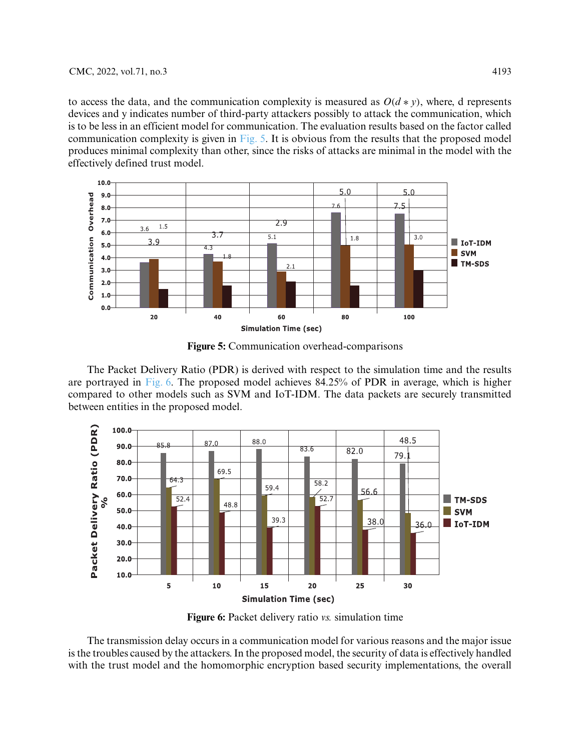to access the data, and the communication complexity is measured as  $O(d * v)$ , where, d represents devices and y indicates number of third-party attackers possibly to attack the communication, which is to be less in an efficient model for communication. The evaluation results based on the factor called communication complexity is given in  $Fig. 5$ . It is obvious from the results that the proposed model produces minimal complexity than other, since the risks of attacks are minimal in the model with the effectively defined trust model.



**Figure 5:** Communication overhead-comparisons

<span id="page-10-0"></span>The Packet Delivery Ratio (PDR) is derived with respect to the simulation time and the results are portrayed in [Fig. 6.](#page-10-1) The proposed model achieves 84.25% of PDR in average, which is higher compared to other models such as SVM and IoT-IDM. The data packets are securely transmitted between entities in the proposed model.



**Figure 6:** Packet delivery ratio *vs.* simulation time

<span id="page-10-1"></span>The transmission delay occurs in a communication model for various reasons and the major issue is the troubles caused by the attackers. In the proposed model, the security of data is effectively handled with the trust model and the homomorphic encryption based security implementations, the overall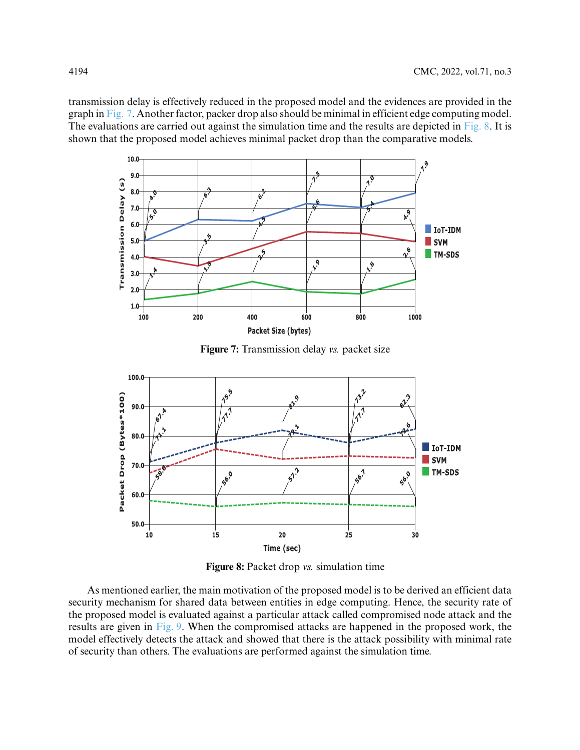transmission delay is effectively reduced in the proposed model and the evidences are provided in the graph in [Fig. 7.](#page-11-0) Another factor, packer drop also should be minimal in efficient edge computing model. The evaluations are carried out against the simulation time and the results are depicted in [Fig. 8.](#page-11-1) It is shown that the proposed model achieves minimal packet drop than the comparative models.



**Figure 7:** Transmission delay *vs.* packet size

<span id="page-11-0"></span>

**Figure 8:** Packet drop *vs.* simulation time

<span id="page-11-1"></span>As mentioned earlier, the main motivation of the proposed model is to be derived an efficient data security mechanism for shared data between entities in edge computing. Hence, the security rate of the proposed model is evaluated against a particular attack called compromised node attack and the results are given in [Fig. 9.](#page-12-3) When the compromised attacks are happened in the proposed work, the model effectively detects the attack and showed that there is the attack possibility with minimal rate of security than others. The evaluations are performed against the simulation time.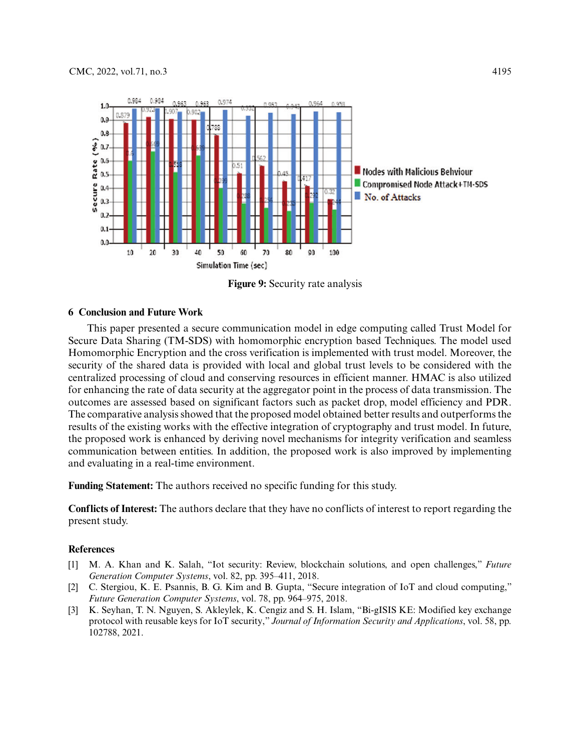

**Figure 9:** Security rate analysis

### <span id="page-12-3"></span>**6 Conclusion and Future Work**

This paper presented a secure communication model in edge computing called Trust Model for Secure Data Sharing (TM-SDS) with homomorphic encryption based Techniques. The model used Homomorphic Encryption and the cross verification is implemented with trust model. Moreover, the security of the shared data is provided with local and global trust levels to be considered with the centralized processing of cloud and conserving resources in efficient manner. HMAC is also utilized for enhancing the rate of data security at the aggregator point in the process of data transmission. The outcomes are assessed based on significant factors such as packet drop, model efficiency and PDR. The comparative analysis showed that the proposed model obtained better results and outperforms the results of the existing works with the effective integration of cryptography and trust model. In future, the proposed work is enhanced by deriving novel mechanisms for integrity verification and seamless communication between entities. In addition, the proposed work is also improved by implementing and evaluating in a real-time environment.

**Funding Statement:** The authors received no specific funding for this study.

**Conflicts of Interest:** The authors declare that they have no conflicts of interest to report regarding the present study.

#### **References**

- <span id="page-12-0"></span>[1] M. A. Khan and K. Salah, "Iot security: Review, blockchain solutions, and open challenges," *Future Generation Computer Systems*, vol. 82, pp. 395–411, 2018.
- <span id="page-12-1"></span>[2] C. Stergiou, K. E. Psannis, B. G. Kim and B. Gupta, "Secure integration of IoT and cloud computing," *Future Generation Computer Systems*, vol. 78, pp. 964–975, 2018.
- <span id="page-12-2"></span>[3] K. Seyhan, T. N. Nguyen, S. Akleylek, K. Cengiz and S. H. Islam, "Bi-gISIS KE: Modified key exchange protocol with reusable keys for IoT security," *Journal of Information Security and Applications*, vol. 58, pp. 102788, 2021.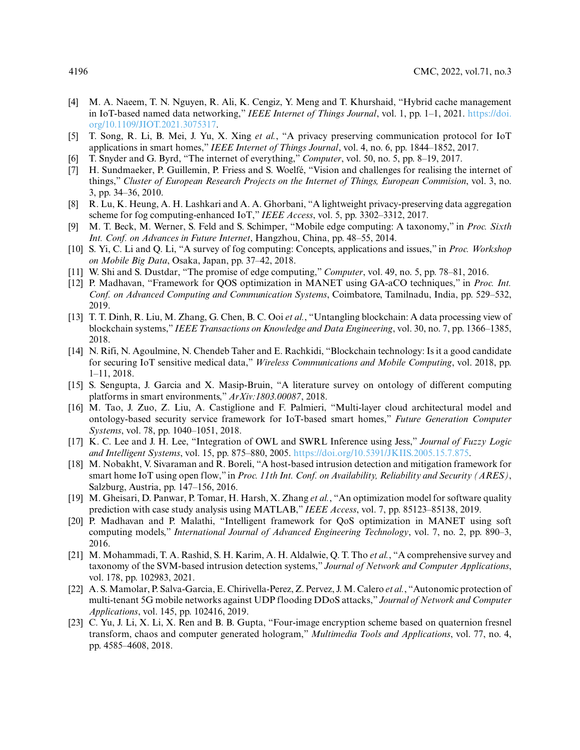- <span id="page-13-0"></span>[4] M. A. Naeem, T. N. Nguyen, R. Ali, K. Cengiz, Y. Meng and T. Khurshaid, "Hybrid cache management [in IoT-based named data networking,"](https://doi.org/10.1109/JIOT.2021.3075317) *IEEE Internet of Things Journal*, vol. 1, pp. 1–1, 2021. https://doi. org/10.1109/JIOT.2021.3075317.
- <span id="page-13-1"></span>[5] T. Song, R. Li, B. Mei, J. Yu, X. Xing *et al.*, "A privacy preserving communication protocol for IoT applications in smart homes," *IEEE Internet of Things Journal*, vol. 4, no. 6, pp. 1844–1852, 2017.
- <span id="page-13-2"></span>[6] T. Snyder and G. Byrd, "The internet of everything," *Computer*, vol. 50, no. 5, pp. 8–19, 2017.
- <span id="page-13-3"></span>[7] H. Sundmaeker, P. Guillemin, P. Friess and S. Woelfé, "Vision and challenges for realising the internet of things," *Cluster of European Research Projects on the Internet of Things, European Commision*, vol. 3, no. 3, pp. 34–36, 2010.
- <span id="page-13-4"></span>[8] R. Lu, K. Heung, A. H. Lashkari and A. A. Ghorbani, "A lightweight privacy-preserving data aggregation scheme for fog computing-enhanced IoT," *IEEE Access*, vol. 5, pp. 3302–3312, 2017.
- [9] M. T. Beck, M. Werner, S. Feld and S. Schimper, "Mobile edge computing: A taxonomy," in *Proc. Sixth Int. Conf. on Advances in Future Internet*, Hangzhou, China, pp. 48–55, 2014.
- <span id="page-13-5"></span>[10] S. Yi, C. Li and Q. Li, "A survey of fog computing: Concepts, applications and issues," in *Proc. Workshop on Mobile Big Data*, Osaka, Japan, pp. 37–42, 2018.
- <span id="page-13-6"></span>[11] W. Shi and S. Dustdar, "The promise of edge computing," *Computer*, vol. 49, no. 5, pp. 78–81, 2016.
- <span id="page-13-7"></span>[12] P. Madhavan, "Framework for QOS optimization in MANET using GA-aCO techniques," in *Proc. Int. Conf. on Advanced Computing and Communication Systems*, Coimbatore, Tamilnadu, India, pp. 529–532, 2019.
- <span id="page-13-8"></span>[13] T. T. Dinh, R. Liu, M. Zhang, G. Chen, B. C. Ooi *et al.*, "Untangling blockchain: A data processing view of blockchain systems," *IEEE Transactions on Knowledge and Data Engineering*, vol. 30, no. 7, pp. 1366–1385, 2018.
- <span id="page-13-9"></span>[14] N. Rifi, N. Agoulmine, N. Chendeb Taher and E. Rachkidi, "Blockchain technology: Is it a good candidate for securing IoT sensitive medical data," *Wireless Communications and Mobile Computing*, vol. 2018, pp. 1–11, 2018.
- <span id="page-13-10"></span>[15] S. Sengupta, J. Garcia and X. Masip-Bruin, "A literature survey on ontology of different computing platforms in smart environments," *ArXiv:1803.00087*, 2018.
- <span id="page-13-11"></span>[16] M. Tao, J. Zuo, Z. Liu, A. Castiglione and F. Palmieri, "Multi-layer cloud architectural model and ontology-based security service framework for IoT-based smart homes," *Future Generation Computer Systems*, vol. 78, pp. 1040–1051, 2018.
- <span id="page-13-12"></span>[17] K. C. Lee and J. H. Lee, "Integration of OWL and SWRL Inference using Jess," *Journal of Fuzzy Logic and Intelligent Systems*, vol. 15, pp. 875–880, 2005. [https://doi.org/10.5391/JKIIS.2005.15.7.875.](https://doi.org/10.5391/JKIIS.2005.15.7.875)
- <span id="page-13-13"></span>[18] M. Nobakht, V. Sivaraman and R. Boreli, "A host-based intrusion detection and mitigation framework for smart home IoT using open flow," in *Proc. 11th Int. Conf. on Availability, Reliability and Security (ARES)*, Salzburg, Austria, pp. 147–156, 2016.
- <span id="page-13-14"></span>[19] M. Gheisari, D. Panwar, P. Tomar, H. Harsh, X. Zhang *et al.*, "An optimization model for software quality prediction with case study analysis using MATLAB," *IEEE Access*, vol. 7, pp. 85123–85138, 2019.
- <span id="page-13-15"></span>[20] P. Madhavan and P. Malathi, "Intelligent framework for QoS optimization in MANET using soft computing models," *International Journal of Advanced Engineering Technology*, vol. 7, no. 2, pp. 890–3, 2016.
- <span id="page-13-16"></span>[21] M. Mohammadi, T. A. Rashid, S. H. Karim, A. H. Aldalwie, Q. T. Tho *et al.*, "A comprehensive survey and taxonomy of the SVM-based intrusion detection systems," *Journal of Network and Computer Applications*, vol. 178, pp. 102983, 2021.
- <span id="page-13-17"></span>[22] A. S. Mamolar, P. Salva-Garcia, E. Chirivella-Perez, Z. Pervez, J. M. Calero *et al.*, "Autonomic protection of multi-tenant 5G mobile networks against UDP flooding DDoS attacks," *Journal of Network and Computer Applications*, vol. 145, pp. 102416, 2019.
- <span id="page-13-18"></span>[23] C. Yu, J. Li, X. Li, X. Ren and B. B. Gupta, "Four-image encryption scheme based on quaternion fresnel transform, chaos and computer generated hologram," *Multimedia Tools and Applications*, vol. 77, no. 4, pp. 4585–4608, 2018.